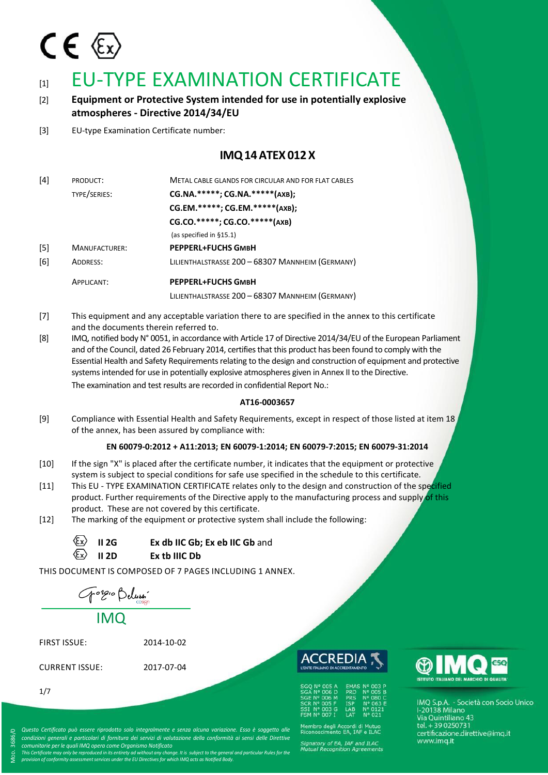# $C \in \langle \epsilon_{x} \rangle$

# $[1]$  EU-TYPE EXAMINATION CERTIFICATE

#### [2] **Equipment or Protective System intended for use in potentially explosive atmospheres - Directive 2014/34/EU**

[3] EU-type Examination Certificate number:

### **IMQ14ATEX012X**

| [4]   | PRODUCT:      | <b>METAL CABLE GLANDS FOR CIRCULAR AND FOR FLAT CABLES</b> |
|-------|---------------|------------------------------------------------------------|
|       | TYPE/SERIES:  | CG.NA.******; CG.NA.******(AXB);                           |
|       |               | CG.EM.*****; CG.EM.******(AXB);                            |
|       |               | CG.CO.******; CG.CO.******(AXB)                            |
|       |               | (as specified in §15.1)                                    |
| $[5]$ | MANUFACTURER: | <b>PEPPERL+FUCHS GMBH</b>                                  |
| [6]   | ADDRESS:      | LILIENTHALSTRASSE 200 - 68307 MANNHEIM (GERMANY)           |
|       | APPLICANT:    | PEPPERL+FUCHS GMBH                                         |
|       |               | LILIENTHALSTRASSE 200 - 68307 MANNHEIM (GERMANY)           |

- [7] This equipment and any acceptable variation there to are specified in the annex to this certificate and the documents therein referred to.
- [8] IMQ, notified body N° 0051, in accordance with Article 17 of Directive 2014/34/EU of the European Parliament and of the Council, dated 26 February 2014, certifies that this product has been found to comply with the Essential Health and Safety Requirements relating to the design and construction of equipment and protective systems intended for use in potentially explosive atmospheres given in Annex II to the Directive. The examination and test results are recorded in confidential Report No.:

#### **AT16-0003657**

[9] Compliance with Essential Health and Safety Requirements, except in respect of those listed at item 18 of the annex, has been assured by compliance with:

#### **EN 60079-0:2012 + A11:2013; EN 60079-1:2014; EN 60079-7:2015; EN 60079-31:2014**

- [10] If the sign "X" is placed after the certificate number, it indicates that the equipment or protective system is subject to special conditions for safe use specified in the schedule to this certificate.
- [11] This EU TYPE EXAMINATION CERTIFICATE relates only to the design and construction of the specified product. Further requirements of the Directive apply to the manufacturing process and supply of this product. These are not covered by this certificate.
- [12] The marking of the equipment or protective system shall include the following:

| $\overline{\mathbb{E}}$ x 11 2G               | Ex db IIC Gb; Ex eb IIC Gb and |
|-----------------------------------------------|--------------------------------|
| $\langle \overline{\epsilon}_x \rangle$ 11 2D | Ex tb IIIC Db                  |

THIS DOCUMENT IS COMPOSED OF 7 PAGES INCLUDING 1 ANNEX.

Gorgio Belussi

IMQ

1/7

FIRST ISSUE: 2014-10-02

CURRENT ISSUE: 2017-07-04



| <b>SGO N° 005 A</b>         |            | EMAS Nº 003 P   |
|-----------------------------|------------|-----------------|
| <b>SGA Nº 006 D</b>         | <b>PRD</b> | <b>N° 005 B</b> |
| <b>SGE Nº 006 M</b>         | <b>PRS</b> | N° 080 C        |
| $SCR$ $N^{\circ}$ $005$ $F$ | <b>ISP</b> | Nº 063 E        |
| SSI Nº 003 G                | I AB       | N° 0121         |
| <b>FSM Nº 007 I</b>         | 1 AT       | N° 021          |

Membro degli Accordi di I<br>Riconoscimento EA, IAF (

.<br>Signatory of EA, IAF and ILAC<br>Mutual Recognition Agreemeni



IMQ S.p.A. - Società con Socio Unico I-20138 Milano Via Quintiliano 43 tel. + 39 0250731 certificazione.direttive@imq.it www.imq.it

*Questo Certificato può essere riprodotto solo integralmente e senza alcuna variazione. Esso è soggetto alle condizioni generali e particolari di fornitura dei servizi di valutazione della conformità ai sensi delle Direttive comunitarie per le quali IMQ opera come Organismo Notificato*

This Certificate may only be reproduced in its entirety ad without any change. It is subject to the general and particular Rules for the<br>provision of conformity assessment services under the EU Directives for which IMQ ac

⋝ OD. 3686/0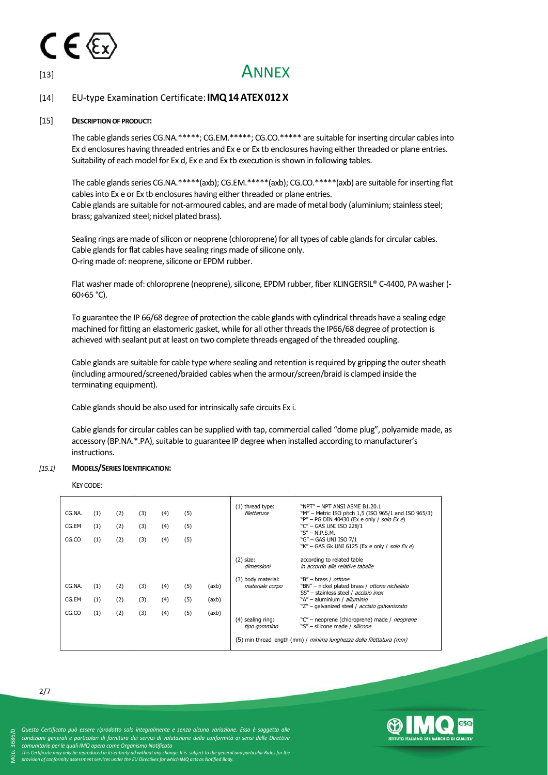

#### [14] EU-type Examination Certificate: **IMQ14ATEX012X**

#### [15] **DESCRIPTION OF PRODUCT:**

The cable glands series CG.NA.\*\*\*\*\*; CG.EM.\*\*\*\*\*; CG.CO.\*\*\*\*\* are suitable for inserting circular cables into Ex d enclosures having threaded entries and Ex e or Ex tb enclosures having either threaded or plane entries. Suitability of each model for Ex d, Ex e and Ex tb execution is shown in following tables.

The cable glands series CG.NA.\*\*\*\*\*(axb); CG.EM.\*\*\*\*\*(axb); CG.CO.\*\*\*\*\*(axb) are suitable for inserting flat cables into Ex e or Ex tb enclosures having either threaded or plane entries. Cable glands are suitable for not-armoured cables, and are made of metal body (aluminium; stainless steel; brass; galvanized steel; nickel plated brass).

Sealing rings are made of silicon or neoprene (chloroprene) for all types of cable glands for circular cables. Cable glands for flat cables have sealing rings made of silicone only. O-ring made of: neoprene, silicone or EPDM rubber.

Flat washer made of: chloroprene (neoprene), silicone, EPDM rubber, fiber KLINGERSIL® C-4400, PA washer (- 60÷65 °C).

To guarantee the IP 66/68 degree of protection the cable glands with cylindrical threads have a sealing edge machined for fitting an elastomeric gasket, while for all other threads the IP66/68 degree of protection is achieved with sealant put at least on two complete threads engaged of the threaded coupling.

Cable glands are suitable for cable type where sealing and retention is required by gripping the outer sheath (including armoured/screened/braided cables when the armour/screen/braid is clamped inside the terminating equipment).

Cable glands should be also used for intrinsically safe circuits Ex i.

Cable glands for circular cables can be supplied with tap, commercial called "dome plug", polyamide made, as accessory (BP.NA.\*.PA), suitable to guarantee IP degree when installed according to manufacturer's instructions.

#### *[15.1]* **MODELS/SERIES IDENTIFICATION:**

#### KEY CODE:

| CG.NA.<br>CG.EM<br>CG.CO | (1)<br>(1)<br>(1) | (2)<br>(2)<br>(2) | (3)<br>(3)<br>(3) | (4)<br>(4)<br>(4) | (5)<br>(5)<br>(5) |       | (1) thread type:<br>filettatura       | "NPT" - NPT ANSI ASME B1.20.1<br>"M" – Metric ISO pitch 1,5 (ISO 965/1 and ISO 965/3)<br>"P" – PG DIN 40430 (Ex e only / solo Ex e)<br>"C" - GAS UNI ISO 228/1<br>$"S" - N.P.S.M.$<br>"G" - GAS UNI ISO 7/1<br>"K" - GAS Gk UNI 6125 (Ex e only / solo Ex e) |
|--------------------------|-------------------|-------------------|-------------------|-------------------|-------------------|-------|---------------------------------------|--------------------------------------------------------------------------------------------------------------------------------------------------------------------------------------------------------------------------------------------------------------|
|                          |                   |                   |                   |                   |                   |       | $(2)$ size:<br>dimensioni             | according to related table<br>in accordo alle relative tabelle                                                                                                                                                                                               |
| CG.NA.                   | (1)               | (2)               | (3)               | (4)               | (5)               | (axb) | (3) body material:<br>materiale corpo | "B" - brass / ottone<br>"BN" - nickel plated brass / ottone nichelato<br>SS" - stainless steel / <i>acciaio inox</i>                                                                                                                                         |
| CG.EM                    | (1)               | (2)               | (3)               | (4)               | (5)               | (axb) |                                       | "A" - aluminium / alluminio<br>"Z" - galvanized steel / acciaio galvanizzato                                                                                                                                                                                 |
| CG.CO                    | (1)               | (2)               | (3)               | (4)               | (5)               | (axb) | (4) sealing ring:<br>tipo gommino     | "C" - neoprene (chloroprene) made / neoprene<br>"S" - silicone made / silicone<br>(5) min thread length (mm) / <i>minima lunghezza della filettatura (mm)</i>                                                                                                |



⋝

*Questo Certificato può essere riprodotto solo integralmente e senza alcuna variazione. Esso è soggetto alle* 

*condizioni generali e particolari di fornitura dei servizi di valutazione della conformità ai sensi delle Direttive* 

*comunitarie per le quali IMQ opera come Organismo Notificato* OD. 3686/0

This Certificate may only be reproduced in its entirety ad without any change. It is subject to the general and particular Rules for the<br>provision of conformity assessment services under the EU Directives for which IMQ ac

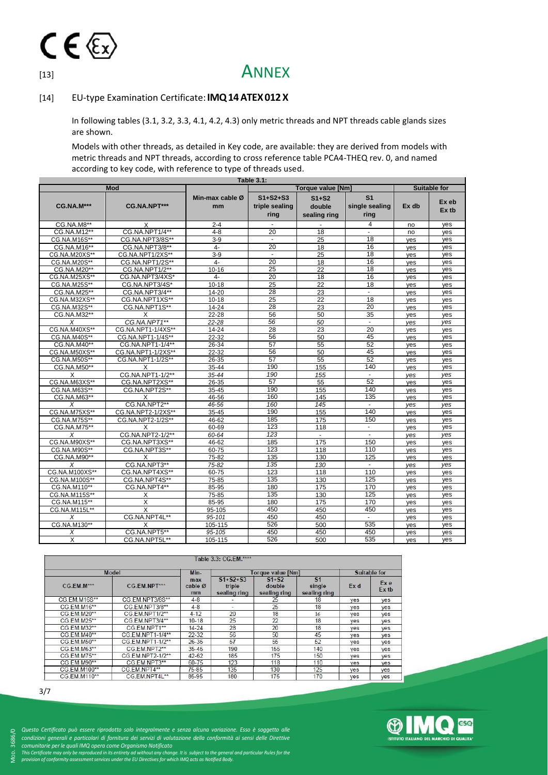#### [14] EU-type Examination Certificate: **IMQ14ATEX012X**

In following tables (3.1, 3.2, 3.3, 4.1, 4.2, 4.3) only metric threads and NPT threads cable glands sizes are shown.

Models with other threads, as detailed in Key code, are available: they are derived from models with metric threads and NPT threads, according to cross reference table PCA4-THEQ rev. 0, and named according to key code, with reference to type of threads used.

| <b>Table 3.1:</b> |                    |                       |                                          |                                   |                                          |       |                     |  |  |
|-------------------|--------------------|-----------------------|------------------------------------------|-----------------------------------|------------------------------------------|-------|---------------------|--|--|
|                   | Mod                |                       |                                          | <b>Torque value [Nm]</b>          |                                          |       | <b>Suitable for</b> |  |  |
| <b>CG.NA.M***</b> | CG.NA.NPT***       | Min-max cable Ø<br>mm | $S1 + S2 + S3$<br>triple sealing<br>ring | $S1+S2$<br>double<br>sealing ring | S <sub>1</sub><br>single sealing<br>ring | Ex db | Ex eb<br>Ex tb      |  |  |
| CG.NA.M8**        | X                  | $2 - 4$               |                                          |                                   | 4                                        | no    | yes                 |  |  |
| CG.NA.M12**       | CG.NA.NPT1/4**     | $4 - 8$               | 20                                       | 18                                | $\omega$                                 | no    | yes                 |  |  |
| CG.NA.M16S**      | CG.NA.NPT3/8S**    | $3-9$                 | $\blacksquare$                           | 25                                | 18                                       | yes   | yes                 |  |  |
| CG.NA.M16**       | CG.NA.NPT3/8**     | $4-$                  | 20                                       | 18                                | 16                                       | yes   | yes                 |  |  |
| CG.NA.M20XS**     | CG.NA.NPT1/2XS**   | $3-9$                 | $\sim$                                   | 25                                | 18                                       | yes   | yes                 |  |  |
| CG.NA.M20S**      | CG.NA.NPT1/2S**    | $4-$                  | 20                                       | 18                                | 16                                       | yes   | yes                 |  |  |
| CG.NA.M20**       | CG.NA.NPT1/2**     | $10 - 16$             | 25                                       | 22                                | 18                                       | yes   | yes                 |  |  |
| CG.NA.M25XS**     | CG.NA.NPT3/4XS*    | $4-$                  | 20                                       | 18                                | 16                                       | yes   | yes                 |  |  |
| CG.NA.M25S**      | CG.NA.NPT3/4S*     | $10 - 18$             | 25                                       | 22                                | 18                                       | yes   | yes                 |  |  |
| CG.NA.M25**       | CG.NA.NPT3/4**     | $14 - 20$             | 28                                       | $\overline{23}$                   | $\blacksquare$                           | yes   | yes                 |  |  |
| CG.NA.M32XS**     | CG.NA.NPT1XS**     | $10 - 18$             | 25                                       | 22                                | 18                                       | yes   | yes                 |  |  |
| CG.NA.M32S**      | CG.NA.NPT1S**      | 14-24                 | 28                                       | 23                                | $\overline{20}$                          | yes   | yes                 |  |  |
| CG.NA.M32**       | X                  | 22-28                 | 56                                       | 50                                | 35                                       | yes   | yes                 |  |  |
| X                 | CG.NA.NPT1**       | 22-28                 | 56                                       | 50                                | $\omega$                                 | yes   | yes                 |  |  |
| CG.NA.M40XS**     | CG.NA.NPT1-1/4XS** | 14-24                 | 28                                       | 23                                | 20                                       | yes   | yes                 |  |  |
| CG.NA.M40S**      | CG.NA.NPT1-1/4S**  | 22-32                 | 56                                       | 50                                | 45                                       | yes   | yes                 |  |  |
| CG.NA.M40**       | CG.NA.NPT1-1/4**   | 26-34                 | 57                                       | 55                                | 52                                       | yes   | yes                 |  |  |
| CG.NA.M50XS**     | CG.NA.NPT1-1/2XS** | 22-32                 | 56                                       | 50                                | 45                                       | yes   | yes                 |  |  |
| CG.NA.M50S**      | CG.NA.NPT1-1/2S**  | 26-35                 | 57                                       | 55                                | 52                                       | ves   | yes                 |  |  |
| CG.NA.M50**       | X                  | 35-44                 | 190                                      | 155                               | 140                                      | yes   | yes                 |  |  |
| X                 | CG.NA.NPT1-1/2**   | 35-44                 | 190                                      | 155                               | $\mathbf{r}$                             | yes   | ves                 |  |  |
| CG.NA.M63XS**     | CG.NA.NPT2XS**     | 26-35                 | 57                                       | 55                                | 52                                       | yes   | yes                 |  |  |
| CG.NA.M63S**      | CG.NA.NPT2S**      | 35-45                 | 190                                      | 155                               | 140                                      | yes   | yes                 |  |  |
| CG.NA.M63**       | X                  | 46-56                 | 160                                      | 145                               | 135                                      | yes   | yes                 |  |  |
| X                 | CG.NA.NPT2**       | 46-56                 | 160                                      | 145                               | $\omega$                                 | ves   | yes                 |  |  |
| CG.NA.M75XS**     | CG.NA.NPT2-1/2XS** | 35-45                 | 190                                      | 155                               | 140                                      | yes   | yes                 |  |  |
| CG.NA.M75S**      | CG.NA.NPT2-1/2S**  | 46-62                 | 185                                      | 175                               | 150                                      | yes   | yes                 |  |  |
| CG.NA.M75**       | X                  | 60-69                 | 123                                      | 118                               | $\sim$                                   | yes   | yes                 |  |  |
| X                 | CG.NA.NPT2-1/2**   | 60-64                 | 123                                      | ÷.                                | $\mathbf{r}$                             | ves   | ves                 |  |  |
| CG.NA.M90XS**     | CG.NA.NPT3XS**     | 46-62                 | 185                                      | 175                               | 150                                      | yes   | yes                 |  |  |
| CG.NA.M90S**      | CG.NA.NPT3S**      | 60-75                 | 123                                      | 118                               | 110                                      | yes   | yes                 |  |  |
| CG.NA.M90**       | X                  | 75-82                 | 135                                      | 130                               | 125                                      | yes   | yes                 |  |  |
| X                 | CG.NA.NPT3**       | 75-82                 | 135                                      | 130                               | $\sim$                                   | yes   | ves                 |  |  |
| CG.NA.M100XS**    | CG.NA.NPT4XS**     | 60-75                 | 123                                      | 118                               | 110                                      | yes   | yes                 |  |  |
| CG.NA.M100S**     | CG.NA.NPT4S**      | 75-85                 | 135                                      | 130                               | 125                                      | ves   | yes                 |  |  |
| CG.NA.M110**      | CG.NA.NPT4**       | 85-95                 | 180                                      | 175                               | 170                                      | yes   | yes                 |  |  |
| CG.NA.M115S**     | Х                  | 75-85                 | 135                                      | 130                               | 125                                      | yes   | yes                 |  |  |
| CG.NA.M115**      | X                  | 85-95                 | 180                                      | 175                               | 170                                      | ves   | yes                 |  |  |
| CG.NA.M115L**     | X                  | 95-105                | 450                                      | 450                               | 450                                      | yes   | yes                 |  |  |
| X                 | CG.NA.NPT4L**      | 95-101                | 450                                      | 450                               | $\sim$                                   | yes   | yes                 |  |  |
| CG.NA.M130**      | X                  | 105-115               | 526                                      | 500                               | 535                                      | yes   | yes                 |  |  |
| X                 | CG.NA.NPT5**       | 95-105                | 450                                      | 450                               | 450                                      | yes   | yes                 |  |  |
| x                 | CG.NA.NPT5L**      | 105-115               | 526                                      | 500                               | 535                                      | yes   | yes                 |  |  |

|                     | Model            | Min-                 |                                          | <b>Torque value [Nm]</b>          |                                          |      | Suitable for  |
|---------------------|------------------|----------------------|------------------------------------------|-----------------------------------|------------------------------------------|------|---------------|
| CG.EM.M***          | CG.EM.NPT***     | max<br>cable Ø<br>mm | $S1 + S2 + S3$<br>triple<br>sealing ring | $S1+S2$<br>double<br>sealing ring | S <sub>1</sub><br>single<br>sealing ring | Ex d | Ex e<br>Ex tb |
| <b>CG.EM.M16S**</b> | CG.EM.NPT3/8S**  | $4 - 8$              |                                          | 25                                | 18                                       | ves  | yes           |
| CG.EM.M16**         | CG.EM.NPT3/8**   | $4 - 8$              |                                          | 25                                | 18                                       | ves  | yes           |
| CG.EM.M20**         | CG.EM.NPT1/2**   | $4 - 12$             | 20                                       | 18                                | 16                                       | yes  | yes           |
| CG.EM.M25**         | CG.EM.NPT3/4**   | $10 - 18$            | 25                                       | 22                                | 18                                       | ves  | yes           |
| CG.EM.M32**         | CG.EM.NPT1**     | $14 - 24$            | 28                                       | 20                                | 18                                       | ves  | yes           |
| CG.EM.M40**         | CG.EM.NPT1-1/4** | $22 - 32$            | 56                                       | 50                                | 45                                       | ves  | ves           |
| CG FM M50**         | CG.EM.NPT1-1/2** | $26 - 35$            | 57                                       | 55                                | 52                                       | ves  | ves           |
| CG.EM.M63**         | CG FM NPT2**     | $35 - 45$            | 190                                      | 155                               | 140                                      | ves  | ves           |
| CG EM M75**         | CG.EM.NPT2-1/2** | $42 - 62$            | 185                                      | 175                               | 150                                      | ves. | ves           |
| CG.EM.M90**         | CG.EM.NPT3**     | 60-75                | 123                                      | 118                               | 110                                      | ves. | ves           |
| CG.EM.M100**        | CG.EM.NPT4**     | 75-85                | 135                                      | 130                               | 125                                      | ves  | yes           |
| CG.EM.M110**        | CG.EM.NPT4L**    | 85-95                | 180                                      | 175                               | 170                                      | ves  | yes           |

#### 3/7

ylop.

OD. 3686/0

*Questo Certificato può essere riprodotto solo integralmente e senza alcuna variazione. Esso è soggetto alle* 

- *condizioni generali e particolari di fornitura dei servizi di valutazione della conformità ai sensi delle Direttive*
- *comunitarie per le quali IMQ opera come Organismo Notificato*



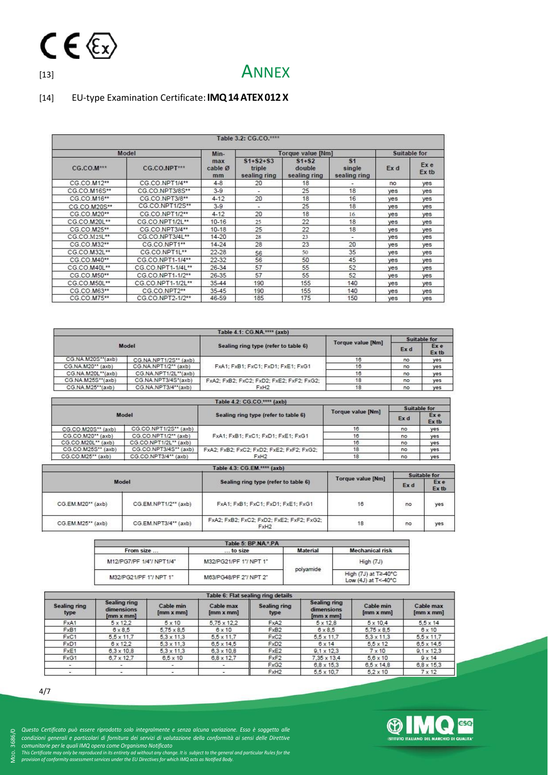

#### [14] EU-type Examination Certificate: **IMQ14ATEX012X**

|              | Table 3.2: CG.CO.**** |                        |                                          |                                   |                                          |      |               |  |  |  |  |  |
|--------------|-----------------------|------------------------|------------------------------------------|-----------------------------------|------------------------------------------|------|---------------|--|--|--|--|--|
|              | Model                 |                        |                                          | Torque value [Nm]                 |                                          |      |               |  |  |  |  |  |
| CG.CO.M***   | CG.CO.NPT***          | max<br>cable $Ø$<br>mm | $S1 + S2 + S3$<br>triple<br>sealing ring | $S1+S2$<br>double<br>sealing ring | S <sub>1</sub><br>single<br>sealing ring | Ex d | Ex e<br>Ex tb |  |  |  |  |  |
| CG.CO.M12**  | CG.CO.NPT1/4**        | $4 - 8$                | 20                                       | 18                                |                                          | no   | yes           |  |  |  |  |  |
| CG.CO.M16S** | CG.CO.NPT3/8S**       | $3-9$                  | $\overline{\phantom{a}}$                 | 25                                | 18                                       | yes  | yes           |  |  |  |  |  |
| CG.CO.M16**  | CG.CO.NPT3/8**        | $4-12$                 | 20                                       | 18                                | 16                                       | yes  | yes           |  |  |  |  |  |
| CG.CO.M20S** | CG.CO.NPT1/2S**       | $3-9$                  |                                          | 25                                | 18                                       | ves  | ves           |  |  |  |  |  |
| CG.CO.M20**  | CG.CO.NPT1/2**        | $4 - 12$               | 20                                       | 18                                | 16                                       | yes  | yes           |  |  |  |  |  |
| CG.CO.M20L** | CG.CO.NPT1/2L**       | $10 - 16$              | 25                                       | 22                                | 18                                       | yes  | ves           |  |  |  |  |  |
| CG.CO.M25**  | CG.CO.NPT3/4**        | $10 - 18$              | 25                                       | 22                                | 18                                       | yes  | yes           |  |  |  |  |  |
| CG.CO.M25L** | CG.CO.NPT3/4L**       | $14 - 20$              | 28                                       | 23                                | $\overline{\phantom{a}}$                 | yes  | ves           |  |  |  |  |  |
| CG.CO.M32**  | CG.CO.NPT1**          | $14 - 24$              | 28                                       | 23                                | 20                                       | yes  | yes           |  |  |  |  |  |
| CG.CO.M32L** | CG.CO.NPT1L**         | 22-28                  | 56                                       | 50                                | 35                                       | yes  | yes           |  |  |  |  |  |
| CG.CO.M40**  | CG.CO.NPT1-1/4**      | 22-32                  | 56                                       | 50                                | 45                                       | yes  | yes           |  |  |  |  |  |
| CG.CO.M40L** | CG.CO.NPT1-1/4L**     | 26-34                  | 57                                       | 55                                | 52                                       | yes  | <b>yes</b>    |  |  |  |  |  |
| CG.CO.M50**  | CG.CO.NPT1-1/2**      | 26-35                  | 57                                       | 55                                | 52                                       | ves  | yes           |  |  |  |  |  |
| CG.CO.M50L** | CG.CO.NPT1-1/2L**     | 35-44                  | 190                                      | 155                               | 140                                      | yes  | yes           |  |  |  |  |  |
| CG.CO.M63**  | CG.CO.NPT2**          | 35-45                  | 190                                      | 155                               | 140                                      | yes  | ves           |  |  |  |  |  |
| CG.CO.M75**  | CG.CO.NPT2-1/2**      | 46-59                  | 185                                      | 175                               | 150                                      | yes  | yes           |  |  |  |  |  |

|                   |                       | Table 4.1: CG.NA.**** (axb)               |                   |     |              |  |
|-------------------|-----------------------|-------------------------------------------|-------------------|-----|--------------|--|
|                   |                       |                                           |                   |     | Suitable for |  |
| Model             |                       | Sealing ring type (refer to table 6)      | Torque value [Nm] | Exd | Exe<br>Ex tb |  |
| CG.NA.M20S**(axb) | CG.NA.NPT1/2S** (axb) |                                           | 16                | no  | yes          |  |
| CG.NA.M20** (axb) | CG.NA.NPT1/2** (axb)  | FxA1; FxB1; FxC1; FxD1; FxE1; FxG1        | 16                | no  | yes          |  |
| CG.NA.M20L**(axb) | CG.NA.NPT1/2L**(axb)  |                                           | 16                | no  | yes          |  |
| CG.NA.M25S**(axb) | CG.NA.NPT3/4S'(axb)   | FxA2; FxB2; FxC2; FxD2; FxE2; FxF2; FxG2; | 18                | no  | yes          |  |
| CG.NA.M25**(axb)  | CG.NA.NPT3/4**(axb)   | FxH2                                      | 18                | no  | yes          |  |

|                    |                       | Table $4.2: CG.CO.1111 (axb)$             |                          |      |              |  |
|--------------------|-----------------------|-------------------------------------------|--------------------------|------|--------------|--|
|                    |                       |                                           | <b>Torque value [Nm]</b> |      | Suitable for |  |
|                    | Model                 | Sealing ring type (refer to table 6)      |                          | Ex d | Exe<br>Ex tb |  |
| CG.CO.M20S** (axb) | CG.CO.NPT1/2S** (axb) |                                           | 16                       | no   | yes          |  |
| CG.CO.M20** (axb)  | CG.CO.NPT1/2** (axb)  | FxA1; FxB1; FxC1; FxD1; FxE1; FxG1        | 16                       | no   | yes          |  |
| CG.CO.M20L** (axb) | CG.CO.NPT1/2L** (axb) |                                           | 16                       | no   | yes          |  |
| CG.CO.M25S** (axb) | CG.CO.NPT3/4S** (axb) | FxA2: FxB2: FxC2: FxD2: FxE2: FxF2: FxG2: | 18                       | no   | yes          |  |
| CG.CO.M25** (axb)  | CG.CO.NPT3/4** (axb)  | FxH2                                      | 18                       | no   | yes          |  |
|                    |                       |                                           |                          |      |              |  |

|                   |                      |                                                               |                   | Suitable for |              |
|-------------------|----------------------|---------------------------------------------------------------|-------------------|--------------|--------------|
|                   | Model                | Sealing ring type (refer to table 6)                          | Torque value [Nm] |              | Exe<br>Ex tb |
| CG.EM.M20** (axb) | CG.EM.NPT1/2** (axb) | FxA1; FxB1; FxC1; FxD1; FxE1; FxG1                            | 16                | no           | yes          |
| CG.EM.M25** (axb) | CG.EM.NPT3/4** (axb) | FxA2; FxB2; FxC2; FxD2; FxE2; FxF2; FxG2;<br>FxH <sub>2</sub> | 18                | no           | yes          |

| Table 5: BP.NA * PA      |                        |           |                                                                |  |  |  |  |
|--------------------------|------------------------|-----------|----------------------------------------------------------------|--|--|--|--|
| From size                | to size                | Material  | <b>Mechanical risk</b>                                         |  |  |  |  |
| M12/PG7/PF 1/4"/ NPT1/4" | M32/PG21/PF 1"/ NPT 1" |           | High (7J)                                                      |  |  |  |  |
| M32/PG21/PF 1"/ NPT 1"   | M63/PG48/PF 2"/ NPT 2" | polyamide | High $(7J)$ at $T \geq -40^{\circ}$ C<br>Low $(4J)$ at T<-40°C |  |  |  |  |

|                             | Table 6: Flat sealing ring details             |                               |                               |                             |                                                |                               |                               |  |  |  |  |
|-----------------------------|------------------------------------------------|-------------------------------|-------------------------------|-----------------------------|------------------------------------------------|-------------------------------|-------------------------------|--|--|--|--|
| <b>Sealing ring</b><br>type | Sealing ring<br>dimensions<br>$[mm \times mm]$ | Cable min<br>$[mm \times mm]$ | Cable max<br>$[mm \times mm]$ | <b>Sealing ring</b><br>type | Sealing ring<br>dimensions<br>$[mm \times mm]$ | Cable min<br>$[mm \times mm]$ | Cable max<br>$[mm \times mm]$ |  |  |  |  |
| FxA1                        | $5 \times 12.2$                                | $5 \times 10$                 | 5,75 x 12,2                   | FxA2                        | $5 \times 12.8$                                | $5 \times 10.4$               | $5.5 \times 14$               |  |  |  |  |
| FxB1                        | $6 \times 8.5$                                 | $5.75 \times 8.5$             | $6 \times 10$                 | FxB2                        | $6 \times 8.5$                                 | $5.75 \times 8.5$             | 6x10                          |  |  |  |  |
| FxC1                        | $5.5 \times 11.7$                              | $5.3 \times 11.3$             | $5.5 \times 11.7$             | FxC2                        | $5.5 \times 11.7$                              | $5.3 \times 11.3$             | $5.5 \times 11.7$             |  |  |  |  |
| FxD1                        | $6 \times 12.2$                                | $5.3 \times 11.3$             | $6.5 \times 14.5$             | FxD <sub>2</sub>            | $6 \times 14$                                  | $5.5 \times 12$               | $6.5 \times 14.5$             |  |  |  |  |
| FxE1                        | $6.3 \times 10.8$                              | $5.3 \times 11.3$             | $6.3 \times 10.8$             | FxE2                        | $9.1 \times 12.3$                              | $7 \times 10$                 | $9.1 \times 12.3$             |  |  |  |  |
| FxG1                        | $6.7 \times 12.7$                              | $6.5 \times 10$               | $6.8 \times 12.7$             | FxF <sub>2</sub>            | $7,35 \times 13,4$                             | $5.6 \times 10$               | $9 \times 14$                 |  |  |  |  |
|                             |                                                |                               |                               | FxG2                        | $6.8 \times 15.3$                              | $6.5 \times 14.8$             | $6.8 \times 15.3$             |  |  |  |  |
|                             |                                                |                               |                               | FxH <sub>2</sub>            | $5.5 \times 10.7$                              | $5.2 \times 10$               | $7 \times 12$                 |  |  |  |  |

Mop.

OD. 3686/0

- *Questo Certificato può essere riprodotto solo integralmente e senza alcuna variazione. Esso è soggetto alle*
- *condizioni generali e particolari di fornitura dei servizi di valutazione della conformità ai sensi delle Direttive*
- *comunitarie per le quali IMQ opera come Organismo Notificato This Certificate may only be reproduced in its entirety ad without any change. It is subject to the general and particular Rules for the provision of conformity assessment services under the EU Directives for which IMQ acts as Notified Body.*

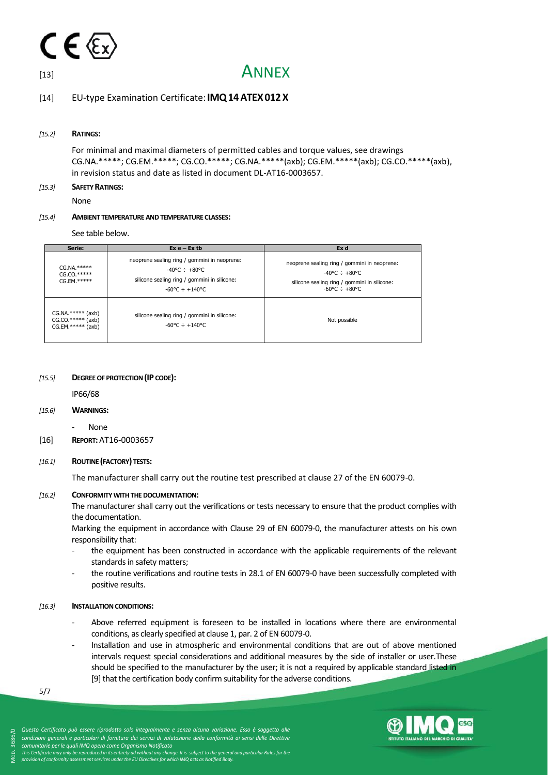

#### [14] EU-type Examination Certificate: **IMQ14ATEX012X**

#### *[15.2]* **RATINGS:**

For minimal and maximal diameters of permitted cables and torque values, see drawings CG.NA.\*\*\*\*\*; CG.EM.\*\*\*\*\*; CG.CO.\*\*\*\*\*; CG.NA.\*\*\*\*\*(axb); CG.EM.\*\*\*\*\*(axb); CG.CO.\*\*\*\*\*(axb), in revision status and date as listed in document DL-AT16-0003657.

#### *[15.3]* **SAFETY RATINGS:**

None

#### *[15.4]* **AMBIENT TEMPERATURE AND TEMPERATURE CLASSES:**

See table below.

| Serie:                                                         | $Ex e - Ex t b$                                                                                                                                                 | Ex d                                                                                                                                                                    |
|----------------------------------------------------------------|-----------------------------------------------------------------------------------------------------------------------------------------------------------------|-------------------------------------------------------------------------------------------------------------------------------------------------------------------------|
| $CG.NA.****$<br>$CG.CQ.****$<br>$CG.EM.*****$                  | neoprene sealing ring / gommini in neoprene:<br>$-40^{\circ}$ C $\div$ +80 °C<br>silicone sealing ring / gommini in silicone:<br>$-60^{\circ}$ C $\div$ +140 °C | neoprene sealing ring / gommini in neoprene:<br>$-40^{\circ}$ C $\div$ +80 °C<br>silicone sealing ring / gommini in silicone:<br>$-60^{\circ}$ C $\div$ $+80^{\circ}$ C |
| $CG.NA.**** (axb)$<br>$CG.CO.**** (axb)$<br>$CG.EM.**** (axb)$ | silicone sealing ring / gommini in silicone:<br>$-60^{\circ}$ C $\div$ +140 °C                                                                                  | Not possible                                                                                                                                                            |

#### *[15.5]* **DEGREE OF PROTECTION (IPCODE):**

IP66/68

#### *[15.6]* **WARNINGS:**

None

[16] **REPORT:**AT16-0003657

#### *[16.1]* **ROUTINE (FACTORY) TESTS:**

The manufacturer shall carry out the routine test prescribed at clause 27 of the EN 60079-0.

#### *[16.2]* **CONFORMITY WITH THE DOCUMENTATION:**

The manufacturer shall carry out the verifications or tests necessary to ensure that the product complies with the documentation.

Marking the equipment in accordance with Clause 29 of EN 60079-0, the manufacturer attests on his own responsibility that:

- the equipment has been constructed in accordance with the applicable requirements of the relevant standards in safety matters;
- the routine verifications and routine tests in 28.1 of EN 60079-0 have been successfully completed with positive results.

#### *[16.3]* **INSTALLATION CONDITIONS:**

- Above referred equipment is foreseen to be installed in locations where there are environmental conditions, as clearly specified at clause 1, par. 2 of EN 60079-0.
- Installation and use in atmospheric and environmental conditions that are out of above mentioned intervals request special considerations and additional measures by the side of installer or user.These should be specified to the manufacturer by the user; it is not a required by applicable standard listed in [9] that the certification body confirm suitability for the adverse conditions.

5/7





*comunitarie per le quali IMQ opera come Organismo Notificato* This Certificate may only be reproduced in its entirety ad without any change. It is subject to the general and particular Rules for the<br>provision of conformity assessment services under the EU Directives for which IMQ ac ⋝ OD. 3686/0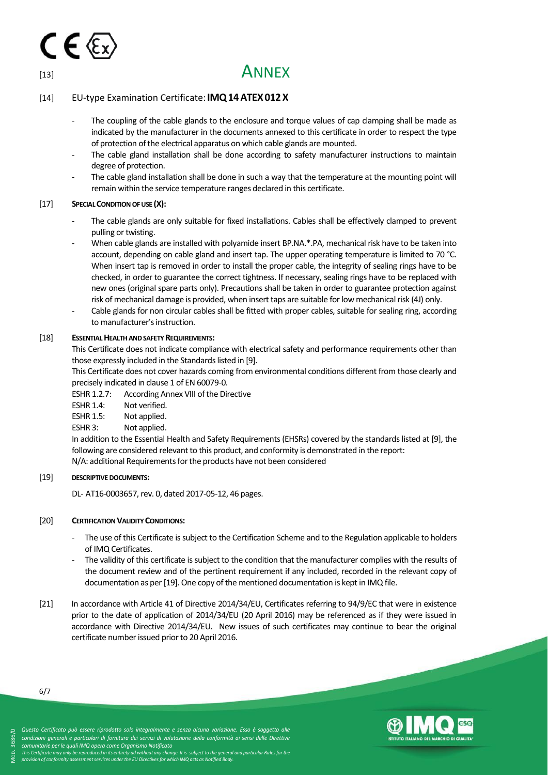

#### [14] EU-type Examination Certificate: **IMQ14ATEX012X**

- The coupling of the cable glands to the enclosure and torque values of cap clamping shall be made as indicated by the manufacturer in the documents annexed to this certificate in order to respect the type of protection of the electrical apparatus on which cable glands are mounted.
- The cable gland installation shall be done according to safety manufacturer instructions to maintain degree of protection.
- The cable gland installation shall be done in such a way that the temperature at the mounting point will remain within the service temperature ranges declared in this certificate.

#### [17] **SPECIAL CONDITION OF USE (X):**

- The cable glands are only suitable for fixed installations. Cables shall be effectively clamped to prevent pulling or twisting.
- When cable glands are installed with polyamide insert BP.NA.\*.PA, mechanical risk have to be taken into account, depending on cable gland and insert tap. The upper operating temperature is limited to 70 °C. When insert tap is removed in order to install the proper cable, the integrity of sealing rings have to be checked, in order to guarantee the correct tightness. If necessary, sealing rings have to be replaced with new ones (original spare parts only). Precautions shall be taken in order to guarantee protection against risk of mechanical damage is provided, when insert taps are suitable forlow mechanical risk (4J) only.
- Cable glands for non circular cables shall be fitted with proper cables, suitable for sealing ring, according to manufacturer's instruction.

#### [18] **ESSENTIAL HEALTH AND SAFETY REQUIREMENTS:**

This Certificate does not indicate compliance with electrical safety and performance requirements other than those expressly included in the Standards listed in [9].

This Certificate does not cover hazards coming from environmental conditions different from those clearly and precisely indicated in clause 1 of EN 60079-0.

ESHR 1.2.7: According Annex VIII of the Directive

ESHR 1.4: Not verified.

ESHR 1.5: Not applied.

ESHR 3: Not applied.

In addition to the Essential Health and Safety Requirements (EHSRs) covered by the standards listed at [9], the following are considered relevant to this product, and conformity is demonstrated in the report: N/A: additional Requirements for the products have not been considered

#### [19] **DESCRIPTIVE DOCUMENTS:**

DL- AT16-0003657, rev. 0, dated 2017-05-12, 46 pages.

#### [20] **CERTIFICATION VALIDITY CONDITIONS:**

- The use of this Certificate is subject to the Certification Scheme and to the Regulation applicable to holders of IMQ Certificates.
- The validity of this certificate is subject to the condition that the manufacturer complies with the results of the document review and of the pertinent requirement if any included, recorded in the relevant copy of documentation as per [19]. One copy of the mentioned documentation is kept in IMQ file.
- [21] In accordance with Article 41 of Directive 2014/34/EU, Certificates referring to 94/9/EC that were in existence prior to the date of application of 2014/34/EU (20 April 2016) may be referenced as if they were issued in accordance with Directive 2014/34/EU. New issues of such certificates may continue to bear the original certificate number issued prior to 20 April 2016.



⋝

- *Questo Certificato può essere riprodotto solo integralmente e senza alcuna variazione. Esso è soggetto alle condizioni generali e particolari di fornitura dei servizi di valutazione della conformità ai sensi delle Direttive*
- *comunitarie per le quali IMQ opera come Organismo Notificato* OD. 3686/0
	- This Certificate may only be reproduced in its entirety ad without any change. It is subject to the general and particular Rules for the<br>provision of conformity assessment services under the EU Directives for which IMQ ac